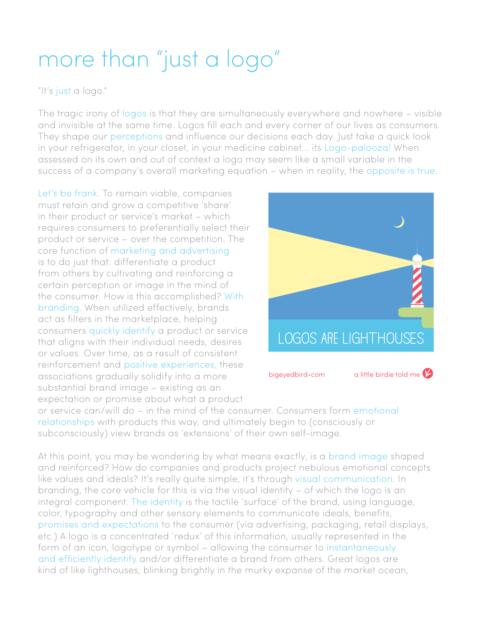## more than "just a logo"

"It's just a logo."

The tragic irony of logos is that they are simultaneously everywhere and nowhere – visible and invisible at the same time. Logos fill each and every corner of our lives as consumers. They shape our perceptions and influence our decisions each day. Just take a quick look in your refrigerator, in your closet, in your medicine cabinet... its Logo-palooza! When assessed on its own and out of context a logo may seem like a small variable in the success of a company's overall marketing equation – when in reality, the opposite is true.

Let's be frank. To remain viable, companies must retain and grow a competitive 'share' in their product or service's market – which requires consumers to preferentially select their product or service – over the competition. The core function of marketing and advertising is to do just that: differentiate a product from others by cultivating and reinforcing a certain perception or image in the mind of the consumer. How is this accomplished? With branding. When utilized effectively, brands act as filters in the marketplace, helping consumers quickly identify a product or service that aligns with their individual needs, desires or values. Over time, as a result of consistent reinforcement and positive experiences, these associations gradually solidify into a more substantial brand image – existing as an expectation or promise about what a product



or service can/will do – in the mind of the consumer. Consumers form emotional relationships with products this way, and ultimately begin to (consciously or subconsciously) view brands as 'extensions' of their own self-image.

At this point, you may be wondering by what means exactly, is a brand image shaped and reinforced? How do companies and products project nebulous emotional concepts like values and ideals? It's really quite simple, it's through visual communication. In branding, the core vehicle for this is via the visual identity – of which the logo is an integral component. The identity is the tactile 'surface' of the brand, using language, color, typography and other sensory elements to communicate ideals, benefits, promises and expectations to the consumer (via advertising, packaging, retail displays, etc.) A logo is a concentrated 'redux' of this information, usually represented in the form of an icon, logotype or symbol – allowing the consumer to instantaneously and efficiently identify and/or differentiate a brand from others. Great logos are kind of like lighthouses, blinking brightly in the murky expanse of the market ocean,